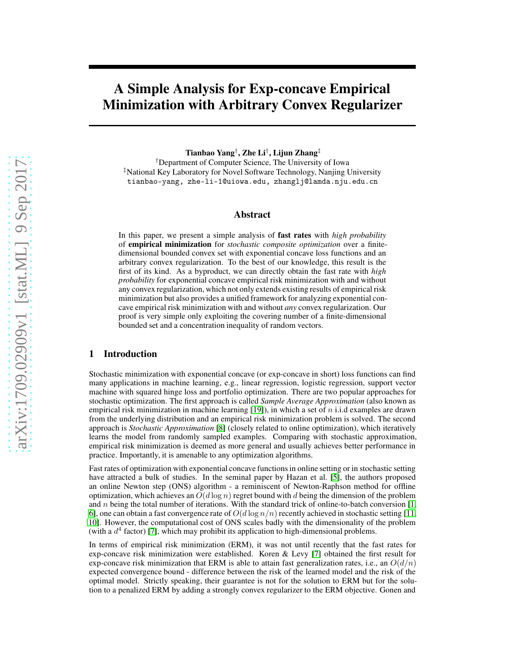# A Simple Analysis for Exp-concave Empirical Minimization with Arbitrary Convex Regularizer

Tianbao Yang† , Zhe Li† , Lijun Zhang‡

†Department of Computer Science, The University of Iowa ‡National Key Laboratory for Novel Software Technology, Nanjing University tianbao-yang, zhe-li-1@uiowa.edu, zhanglj@lamda.nju.edu.cn

#### Abstract

In this paper, we present a simple analysis of fast rates with *high probability* of empirical minimization for *stochastic composite optimization* over a finitedimensional bounded convex set with exponential concave loss functions and an arbitrary convex regularization. To the best of our knowledge, this result is the first of its kind. As a byproduct, we can directly obtain the fast rate with *high probability* for exponential concave empirical risk minimization with and without any convex regularization, which not only extends existing results of empirical risk minimization but also provides a unified framework for analyzing exponential concave empirical risk minimization with and without *any* convex regularization. Our proof is very simple only exploiting the covering number of a finite-dimensional bounded set and a concentration inequality of random vectors.

# 1 Introduction

Stochastic minimization with exponential concave (or exp-concave in short) loss functions can find many applications in machine learning, e.g., linear regression, logistic regression, support vector machine with squared hinge loss and portfolio optimization. There are two popular approaches for stochastic optimization. The first approach is called *Sample Average Approximation* (also known as empirical risk minimization in machine learning [\[19\]](#page-8-0)), in which a set of  $n$  i.i.d examples are drawn from the underlying distribution and an empirical risk minimization problem is solved. The second approach is *Stochastic Approximation* [\[8\]](#page-8-1) (closely related to online optimization), which iteratively learns the model from randomly sampled examples. Comparing with stochastic approximation, empirical risk minimization is deemed as more general and usually achieves better performance in practice. Importantly, it is amenable to any optimization algorithms.

Fast rates of optimization with exponential concave functions in online setting or in stochastic setting have attracted a bulk of studies. In the seminal paper by Hazan et al. [\[5\]](#page-8-2), the authors proposed an online Newton step (ONS) algorithm - a reminiscent of Newton-Raphson method for offline optimization, which achieves an  $O(d \log n)$  regret bound with d being the dimension of the problem and n being the total number of iterations. With the standard trick of online-to-batch conversion  $[1,$ 6], one can obtain a fast convergence rate of  $O(d \log n/n)$  recently achieved in stochastic setting [\[11,](#page-8-4) 10]. However, the computational cost of ONS scales badly with the dimensionality of the problem (with a  $d^4$  factor) [7], which may prohibit its application to high-dimensional problems.

In terms of empirical risk minimization (ERM), it was not until recently that the fast rates for exp-concave risk minimization were established. Koren & Levy [7] obtained the first result for exp-concave risk minimization that ERM is able to attain fast generalization rates, i.e., an  $O(d/n)$ expected convergence bound - difference between the risk of the learned model and the risk of the optimal model. Strictly speaking, their guarantee is not for the solution to ERM but for the solution to a penalized ERM by adding a strongly convex regularizer to the ERM objective. Gonen and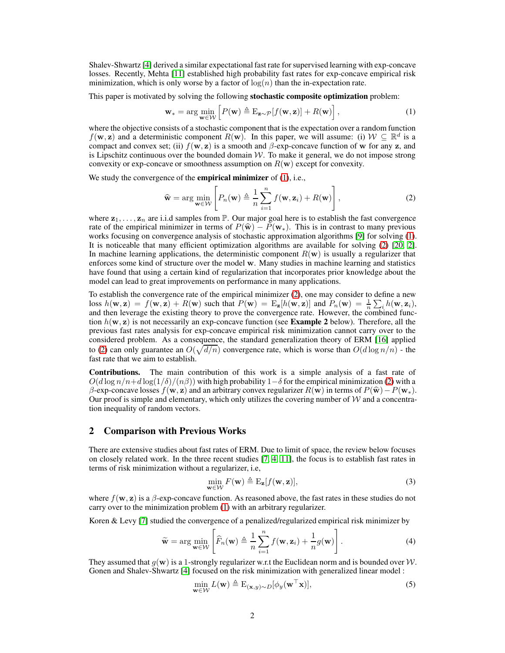Shalev-Shwartz [4] derived a similar expectational fast rate for supervised learning with exp-concave losses. Recently, Mehta [\[11\]](#page-8-4) established high probability fast rates for exp-concave empirical risk minimization, which is only worse by a factor of  $\log(n)$  than the in-expectation rate.

This paper is motivated by solving the following **stochastic composite optimization** problem:

<span id="page-1-0"></span>
$$
\mathbf{w}_{*} = \arg\min_{\mathbf{w} \in \mathcal{W}} \left[ P(\mathbf{w}) \triangleq \mathrm{E}_{\mathbf{z} \sim \mathcal{P}}[f(\mathbf{w}, \mathbf{z})] + R(\mathbf{w}) \right],\tag{1}
$$

where the objective consists of a stochastic component that is the expectation over a random function  $f(\mathbf{w}, \mathbf{z})$  and a deterministic component  $R(\mathbf{w})$ . In this paper, we will assume: (i)  $\mathcal{W} \subseteq \mathbb{R}^d$  is a compact and convex set; (ii)  $f(\mathbf{w}, \mathbf{z})$  is a smooth and  $\beta$ -exp-concave function of w for any z, and is Lipschitz continuous over the bounded domain  $W$ . To make it general, we do not impose strong convexity or exp-concave or smoothness assumption on  $R(\mathbf{w})$  except for convexity.

We study the convergence of the **empirical minimizer** of [\(1\)](#page-1-0), i.e.,

<span id="page-1-1"></span>
$$
\widehat{\mathbf{w}} = \arg\min_{\mathbf{w} \in \mathcal{W}} \left[ P_n(\mathbf{w}) \triangleq \frac{1}{n} \sum_{i=1}^n f(\mathbf{w}, \mathbf{z}_i) + R(\mathbf{w}) \right],\tag{2}
$$

where  $z_1, \ldots, z_n$  are i.i.d samples from  $\mathbb P$ . Our major goal here is to establish the fast convergence rate of the empirical minimizer in terms of  $P(\hat{\mathbf{w}}) - P(\mathbf{w}_*)$ . This is in contrast to many previous works focusing on convergence analysis of stochastic approximation algorithms [\[9\]](#page-8-5) for solving [\(1\)](#page-1-0). It is noticeable that many efficient optimization algorithms are available for solving [\(2\)](#page-1-1) [\[20,](#page-9-0) 2]. In machine learning applications, the deterministic component  $R(\mathbf{w})$  is usually a regularizer that enforces some kind of structure over the model w. Many studies in machine learning and statistics have found that using a certain kind of regularization that incorporates prior knowledge about the model can lead to great improvements on performance in many applications.

To establish the convergence rate of the empirical minimizer [\(2\)](#page-1-1), one may consider to define a new loss  $h(\mathbf{w}, \mathbf{z}) = f(\mathbf{w}, \mathbf{z}) + R(\mathbf{w})$  such that  $P(\mathbf{w}) = E_{\mathbf{z}}[h(\mathbf{w}, \mathbf{z})]$  and  $P_n(\mathbf{w}) = \frac{1}{n} \sum_i h(\mathbf{w}, \mathbf{z}_i)$ , and then leverage the existing theory to prove the convergence rate. However, the combined function  $h(\mathbf{w}, \mathbf{z})$  is not necessarily an exp-concave function (see **Example 2** below). Therefore, all the previous fast rates analysis for exp-concave empirical risk minimization cannot carry over to the considered problem. As a consequence, the standard generalization theory of ERM [\[16\]](#page-8-6) applied to [\(2\)](#page-1-1) can only guarantee an  $O(\sqrt{d/n})$  convergence rate, which is worse than  $O(d \log n/n)$  - the fast rate that we aim to establish.

Contributions. The main contribution of this work is a simple analysis of a fast rate of  $O(d \log n/n+d \log(1/\delta)/(\eta \beta))$  with high probability 1– $\delta$  for the empirical minimization [\(2\)](#page-1-1) with a β-exp-concave losses  $f(\mathbf{w}, \mathbf{z})$  and an arbitrary convex regularizer  $R(\mathbf{w})$  in terms of  $P(\hat{\mathbf{w}}) - P(\mathbf{w}_*)$ . Our proof is simple and elementary, which only utilizes the covering number of  $W$  and a concentration inequality of random vectors.

#### 2 Comparison with Previous Works

There are extensive studies about fast rates of ERM. Due to limit of space, the review below focuses on closely related work. In the three recent studies [7, 4, [11\]](#page-8-4), the focus is to establish fast rates in terms of risk minimization without a regularizer, i.e,

<span id="page-1-3"></span><span id="page-1-2"></span>
$$
\min_{\mathbf{w}\in\mathcal{W}} F(\mathbf{w}) \triangleq \mathcal{E}_{\mathbf{z}}[f(\mathbf{w}, \mathbf{z})],\tag{3}
$$

where  $f(\mathbf{w}, \mathbf{z})$  is a  $\beta$ -exp-concave function. As reasoned above, the fast rates in these studies do not carry over to the minimization problem [\(1\)](#page-1-0) with an arbitrary regularizer.

Koren & Levy [7] studied the convergence of a penalized/regularized empirical risk minimizer by

$$
\widetilde{\mathbf{w}} = \arg \min_{\mathbf{w} \in \mathcal{W}} \left[ \widehat{F}_n(\mathbf{w}) \triangleq \frac{1}{n} \sum_{i=1}^n f(\mathbf{w}, \mathbf{z}_i) + \frac{1}{n} g(\mathbf{w}) \right].
$$
 (4)

They assumed that  $g(\mathbf{w})$  is a 1-strongly regularizer w.r.t the Euclidean norm and is bounded over W. Gonen and Shalev-Shwartz [4] focused on the risk minimization with generalized linear model :

$$
\min_{\mathbf{w}\in\mathcal{W}} L(\mathbf{w}) \triangleq \mathrm{E}_{(\mathbf{x},y)\sim D}[\phi_y(\mathbf{w}^\top \mathbf{x})],\tag{5}
$$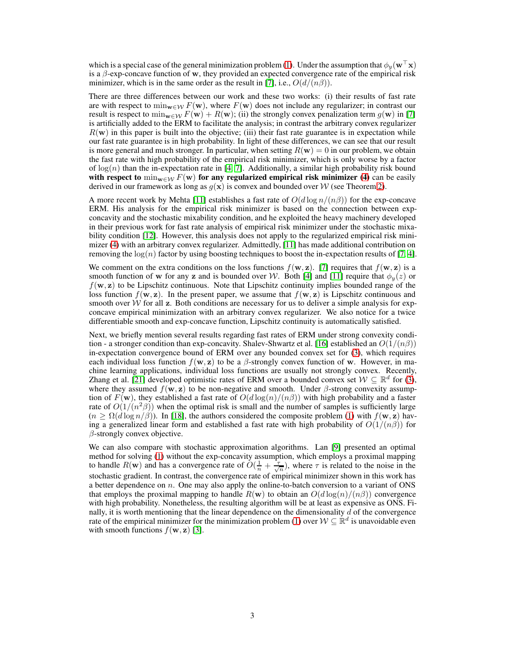which is a special case of the general minimization problem [\(1\)](#page-1-0). Under the assumption that  $\phi_y(\mathbf{w}^\top \mathbf{x})$ is a  $\beta$ -exp-concave function of w, they provided an expected convergence rate of the empirical risk minimizer, which is in the same order as the result in [7], i.e.,  $O(d/(n\beta))$ .

There are three differences between our work and these two works: (i) their results of fast rate are with respect to  $\min_{\mathbf{w}\in\mathcal{W}} F(\mathbf{w})$ , where  $F(\mathbf{w})$  does not include any regularizer; in contrast our result is respect to  $\min_{\mathbf{w} \in \mathcal{W}} F(\mathbf{w}) + R(\mathbf{w})$ ; (ii) the strongly convex penalization term  $g(\mathbf{w})$  in [7] is artificially added to the ERM to facilitate the analysis; in contrast the arbitrary convex regularizer  $R(\mathbf{w})$  in this paper is built into the objective; (iii) their fast rate guarantee is in expectation while our fast rate guarantee is in high probability. In light of these differences, we can see that our result is more general and much stronger. In particular, when setting  $R(\mathbf{w}) = 0$  in our problem, we obtain the fast rate with high probability of the empirical risk minimizer, which is only worse by a factor of  $log(n)$  than the in-expectation rate in [4, 7]. Additionally, a similar high probability risk bound with respect to  $\min_{w \in \mathcal{W}} F(w)$  for any regularized empirical risk minimizer [\(4\)](#page-1-2) can be easily derived in our framework as long as  $q(x)$  is convex and bounded over W (see Theorem [2\)](#page-4-0).

A more recent work by Mehta [\[11\]](#page-8-4) establishes a fast rate of  $O(d \log n/(n \beta))$  for the exp-concave ERM. His analysis for the empirical risk minimizer is based on the connection between expconcavity and the stochastic mixability condition, and he exploited the heavy machinery developed in their previous work for fast rate analysis of empirical risk minimizer under the stochastic mixability condition [12]. However, this analysis does not apply to the regularized empirical risk minimizer [\(4\)](#page-1-2) with an arbitrary convex regularizer. Admittedly, [\[11\]](#page-8-4) has made additional contribution on removing the  $log(n)$  factor by using boosting techniques to boost the in-expectation results of [7, 4].

We comment on the extra conditions on the loss functions  $f(\mathbf{w}, \mathbf{z})$ . [7] requires that  $f(\mathbf{w}, \mathbf{z})$  is a smooth function of w for any z and is bounded over W. Both [4] and [\[11\]](#page-8-4) require that  $\phi_y(z)$  or  $f(\mathbf{w}, \mathbf{z})$  to be Lipschitz continuous. Note that Lipschitz continuity implies bounded range of the loss function  $f(\mathbf{w}, \mathbf{z})$ . In the present paper, we assume that  $f(\mathbf{w}, \mathbf{z})$  is Lipschitz continuous and smooth over  $W$  for all z. Both conditions are necessary for us to deliver a simple analysis for expconcave empirical minimization with an arbitrary convex regularizer. We also notice for a twice differentiable smooth and exp-concave function, Lipschitz continuity is automatically satisfied.

Next, we briefly mention several results regarding fast rates of ERM under strong convexity condi-tion - a stronger condition than exp-concavity. Shalev-Shwartz et al. [\[16\]](#page-8-6) established an  $O(1/(n\beta))$ in-expectation convergence bound of ERM over any bounded convex set for [\(3\)](#page-1-3), which requires each individual loss function  $f(\mathbf{w}, \mathbf{z})$  to be a  $\beta$ -strongly convex function of w. However, in machine learning applications, individual loss functions are usually not strongly convex. Recently, Zhang et al. [21] developed optimistic rates of ERM over a bounded convex set  $W \subseteq \mathbb{R}^d$  for [\(3\)](#page-1-3), where they assumed  $f(\mathbf{w}, \mathbf{z})$  to be non-negative and smooth. Under  $\beta$ -strong convexity assumption of  $F(\mathbf{w})$ , they established a fast rate of  $O(d \log(n)/(n \beta))$  with high probability and a faster rate of  $O(1/(n^2\beta))$  when the optimal risk is small and the number of samples is sufficiently large  $(n \geq \Omega(d \log n/\beta))$ . In [\[18\]](#page-8-7), the authors considered the composite problem [\(1\)](#page-1-0) with  $f(\mathbf{w}, \mathbf{z})$  having a generalized linear form and established a fast rate with high probability of  $O(1/(n\beta))$  for  $\beta$ -strongly convex objective.

We can also compare with stochastic approximation algorithms. Lan [\[9\]](#page-8-5) presented an optimal method for solving [\(1\)](#page-1-0) without the exp-concavity assumption, which employs a proximal mapping to handle  $R(\mathbf{w})$  and has a convergence rate of  $O(\frac{1}{n} + \frac{\tau}{\sqrt{n}})$ , where  $\tau$  is related to the noise in the stochastic gradient. In contrast, the convergence rate of empirical minimizer shown in this work has a better dependence on n. One may also apply the online-to-batch conversion to a variant of ONS that employs the proximal mapping to handle  $R(\mathbf{w})$  to obtain an  $O(d \log(n)/\left(n\beta\right))$  convergence with high probability. Nonetheless, the resulting algorithm will be at least as expensive as ONS. Finally, it is worth mentioning that the linear dependence on the dimensionality  $\tilde{d}$  of the convergence rate of the empirical minimizer for the minimization problem [\(1\)](#page-1-0) over  $W \subseteq \mathbb{R}^d$  is unavoidable even with smooth functions  $f(\mathbf{w}, \mathbf{z})$  [\[3\]](#page-8-8).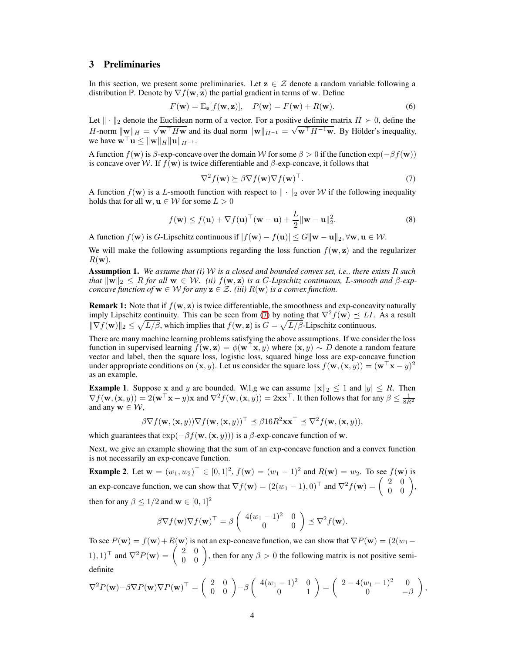## 3 Preliminaries

In this section, we present some preliminaries. Let  $z \in \mathcal{Z}$  denote a random variable following a distribution P. Denote by  $\nabla f(\mathbf{w}, \mathbf{z})$  the partial gradient in terms of w. Define

$$
F(\mathbf{w}) = \mathbf{E}_{\mathbf{z}}[f(\mathbf{w}, \mathbf{z})], \quad P(\mathbf{w}) = F(\mathbf{w}) + R(\mathbf{w}).
$$
 (6)

Let  $\|\cdot\|_2$  denote the Euclidean norm of a vector. For a positive definite matrix  $H \succ 0$ , define the H-norm  $\|\mathbf{w}\|_{H} = \sqrt{\mathbf{w}^{\top}H\mathbf{w}}$  and its dual norm  $\|\mathbf{w}\|_{H^{-1}} = \sqrt{\mathbf{w}^{\top}H^{-1}\mathbf{w}}$ . By Hölder's inequality, we have  $\mathbf{w}^\top \mathbf{u} \leq \|\mathbf{w}\|_H \|\mathbf{u}\|_{H^{-1}}$ .

A function  $f(\mathbf{w})$  is  $\beta$ -exp-concave over the domain W for some  $\beta > 0$  if the function  $\exp(-\beta f(\mathbf{w}))$ is concave over W. If  $f(\mathbf{w})$  is twice differentiable and  $\beta$ -exp-concave, it follows that

<span id="page-3-0"></span>
$$
\nabla^2 f(\mathbf{w}) \succeq \beta \nabla f(\mathbf{w}) \nabla f(\mathbf{w})^\top. \tag{7}
$$

A function  $f(\mathbf{w})$  is a L-smooth function with respect to  $\|\cdot\|_2$  over W if the following inequality holds that for all  $w, u \in \mathcal{W}$  for some  $L > 0$ 

$$
f(\mathbf{w}) \le f(\mathbf{u}) + \nabla f(\mathbf{u})^{\top}(\mathbf{w} - \mathbf{u}) + \frac{L}{2} \|\mathbf{w} - \mathbf{u}\|_2^2.
$$
 (8)

A function  $f(\mathbf{w})$  is G-Lipschitz continuous if  $|f(\mathbf{w}) - f(\mathbf{u})| \le G ||\mathbf{w} - \mathbf{u}||_2$ ,  $\forall \mathbf{w}, \mathbf{u} \in \mathcal{W}$ .

We will make the following assumptions regarding the loss function  $f(\mathbf{w}, \mathbf{z})$  and the regularizer  $R(\mathbf{w})$ .

<span id="page-3-1"></span>Assumption 1. *We assume that (i)* W *is a closed and bounded convex set, i.e., there exists* R *such that*  $\|w\|_2 \leq R$  *for all*  $w \in W$ *. (ii)*  $f(w, z)$  *is a G-Lipschitz continuous, L-smooth and*  $\beta$ -exp*concave function of*  $\mathbf{w} \in \mathcal{W}$  *for any*  $\mathbf{z} \in \mathcal{Z}$ *. (iii)*  $R(\mathbf{w})$  *is a convex function.* 

**Remark 1:** Note that if  $f(\mathbf{w}, \mathbf{z})$  is twice differentiable, the smoothness and exp-concavity naturally imply Lipschitz continuity. This can be seen from [\(7\)](#page-3-0) by noting that  $\nabla^2 f(\mathbf{w}) \preceq L I$ . As a result  $\|\nabla f(\mathbf{w})\|_2 \leq \sqrt{L/\beta}$ , which implies that  $f(\mathbf{w}, \mathbf{z})$  is  $G = \sqrt{L/\beta}$ -Lipschitz continuous.

There are many machine learning problems satisfying the above assumptions. If we consider the loss function in supervised learning  $f(\mathbf{w}, \mathbf{z}) = \phi(\mathbf{w}^T \mathbf{x}, y)$  where  $(\mathbf{x}, y) \sim D$  denote a random feature vector and label, then the square loss, logistic loss, squared hinge loss are exp-concave function under appropriate conditions on  $(x, y)$ . Let us consider the square loss  $f(w, (x, y)) = (w^{\top}x - y)^2$ as an example.

**Example 1.** Suppose x and y are bounded. W.l.g we can assume  $||x||_2 \le 1$  and  $|y| \le R$ . Then  $\nabla f(\mathbf{w}, (\mathbf{x}, y)) = 2(\mathbf{w}^\top \mathbf{x} - y)\mathbf{x}$  and  $\nabla^2 f(\mathbf{w}, (\mathbf{x}, y)) = 2\mathbf{x}\mathbf{x}^\top$ . It then follows that for any  $\beta \leq \frac{1}{8R^2}$ and any  $\mathbf{w} \in \mathcal{W}$ ,

$$
\beta \nabla f(\mathbf{w}, (\mathbf{x}, y)) \nabla f(\mathbf{w}, (\mathbf{x}, y))^\top \preceq \beta 16R^2 \mathbf{x} \mathbf{x}^\top \preceq \nabla^2 f(\mathbf{w}, (\mathbf{x}, y)),
$$

which guarantees that  $exp(-\beta f(\mathbf{w}, (\mathbf{x}, y)))$  is a  $\beta$ -exp-concave function of w.

Next, we give an example showing that the sum of an exp-concave function and a convex function is not necessarily an exp-concave function.

**Example 2.** Let  $\mathbf{w} = (w_1, w_2)^\top \in [0, 1]^2$ ,  $f(\mathbf{w}) = (w_1 - 1)^2$  and  $R(\mathbf{w}) = w_2$ . To see  $f(\mathbf{w})$  is an exp-concave function, we can show that  $\nabla f(\mathbf{w}) = (2(w_1 - 1), 0)^\top$  and  $\nabla^2 f(\mathbf{w}) = \begin{pmatrix} 2 & 0 \\ 0 & 0 \end{pmatrix}$ , then for any  $\beta \leq 1/2$  and  $\mathbf{w} \in [0, 1]^2$ 

$$
\beta \nabla f(\mathbf{w}) \nabla f(\mathbf{w})^{\top} = \beta \begin{pmatrix} 4(w_1 - 1)^2 & 0 \\ 0 & 0 \end{pmatrix} \preceq \nabla^2 f(\mathbf{w}).
$$

To see  $P(\mathbf{w}) = f(\mathbf{w}) + R(\mathbf{w})$  is not an exp-concave function, we can show that  $\nabla P(\mathbf{w}) = (2(w_1 - w_1))$ 1), 1)<sup>⊤</sup> and  $\nabla^2 P(\mathbf{w}) = \begin{pmatrix} 2 & 0 \\ 0 & 0 \end{pmatrix}$ , then for any  $\beta > 0$  the following matrix is not positive semidefinite

$$
\nabla^2 P(\mathbf{w}) - \beta \nabla P(\mathbf{w}) \nabla P(\mathbf{w})^\top = \begin{pmatrix} 2 & 0 \\ 0 & 0 \end{pmatrix} - \beta \begin{pmatrix} 4(w_1 - 1)^2 & 0 \\ 0 & 1 \end{pmatrix} = \begin{pmatrix} 2 - 4(w_1 - 1)^2 & 0 \\ 0 & -\beta \end{pmatrix},
$$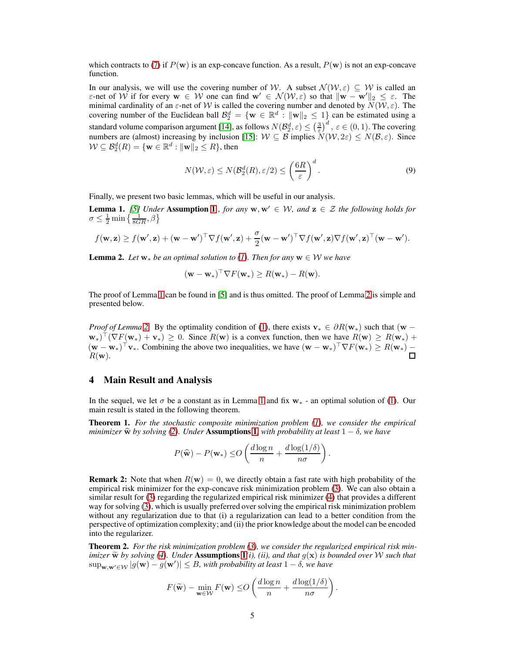which contracts to [\(7\)](#page-3-0) if  $P(\mathbf{w})$  is an exp-concave function. As a result,  $P(\mathbf{w})$  is not an exp-concave function.

In our analysis, we will use the covering number of W. A subset  $\mathcal{N}(\mathcal{W}, \varepsilon) \subseteq \mathcal{W}$  is called an ε-net of W if for every  $w \in W$  one can find  $w' \in \mathcal{N}(\mathcal{W}, \varepsilon)$  so that  $||w - w'||_2 \leq \varepsilon$ . The minimal cardinality of an  $\varepsilon$ -net of W is called the covering number and denoted by  $\overline{N}(\overline{W}, \varepsilon)$ . The covering number of the Euclidean ball  $\mathcal{B}_2^d = \{ \mathbf{w} \in \mathbb{R}^d : ||\mathbf{w}||_2 \leq 1 \}$  can be estimated using a standard volume comparison argument [\[14\]](#page-8-9), as follows  $N(\mathcal{B}_2^d, \varepsilon) \leq \left(\frac{3}{\varepsilon}\right)^d$ ,  $\varepsilon \in (0, 1)$ . The covering standard volume comparison argument [1-1], as follows  $N(\mathcal{L}_2, \varepsilon) \leq (\varepsilon)$ ,  $\varepsilon \in (0, 1)$ . The covering numbers are (almost) increasing by inclusion [\[15\]](#page-8-10):  $\mathcal{W} \subseteq \mathcal{B}$  implies  $N(\mathcal{W}, 2\varepsilon) \leq N(\mathcal{B}, \varepsilon)$ . Since  $\mathcal{W} \subseteq \mathcal{B}_2^d(R) = \{\mathbf{w} \in \mathbb{R}^d : ||\mathbf{w}||_2 \leq R\}$ , then

$$
N(W,\varepsilon) \le N(\mathcal{B}_2^d(R),\varepsilon/2) \le \left(\frac{6R}{\varepsilon}\right)^d.
$$
\n(9)

Finally, we present two basic lemmas, which will be useful in our analysis.

<span id="page-4-1"></span>**Lemma [1](#page-3-1).** [\[5\]](#page-8-2) Under Assumption 1 *, for any*  $w, w' \in W$ *, and*  $z \in \mathcal{Z}$  the following holds for  $\sigma \leq \frac{1}{2} \min \left\{ \frac{1}{8GR}, \beta \right\}$ 

$$
f(\mathbf{w}, \mathbf{z}) \ge f(\mathbf{w}', \mathbf{z}) + (\mathbf{w} - \mathbf{w}')^{\top} \nabla f(\mathbf{w}', \mathbf{z}) + \frac{\sigma}{2} (\mathbf{w} - \mathbf{w}')^{\top} \nabla f(\mathbf{w}', \mathbf{z}) \nabla f(\mathbf{w}', \mathbf{z})^{\top} (\mathbf{w} - \mathbf{w}').
$$

<span id="page-4-2"></span>**Lemma 2.** Let  $w_*$  be an optimal solution to [\(1\)](#page-1-0). Then for any  $w \in W$  we have

$$
(\mathbf{w} - \mathbf{w}_*)^{\top} \nabla F(\mathbf{w}_*) \ge R(\mathbf{w}_*) - R(\mathbf{w}).
$$

The proof of Lemma [1](#page-4-1) can be found in [\[5\]](#page-8-2) and is thus omitted. The proof of Lemma [2](#page-4-2) is simple and presented below.

*Proof of Lemma* [2.](#page-4-2) By the optimality condition of [\(1\)](#page-1-0), there exists  $v_* \in \partial R(w_*)$  such that  $(w (\nabla F(\mathbf{w}_*) + \mathbf{v}_*) \ge 0$ . Since  $R(\mathbf{w})$  is a convex function, then we have  $R(\mathbf{w}) \ge R(\mathbf{w}_*) + \mathbf{v}_*$  $(\mathbf{w} - \mathbf{w}_*)^{\top} \mathbf{v}_*$ . Combining the above two inequalities, we have  $(\mathbf{w} - \mathbf{w}_*)^{\top} \nabla F(\mathbf{w}_*) \ge R(\mathbf{w}_*) R(\mathbf{w})$ .

### 4 Main Result and Analysis

In the sequel, we let  $\sigma$  be a constant as in Lemma [1](#page-4-1) and fix  $w_*$  - an optimal solution of [\(1\)](#page-1-0). Our main result is stated in the following theorem.

<span id="page-4-3"></span>Theorem 1. *For the stochastic composite minimization problem [\(1\)](#page-1-0), we consider the empirical minimizer*  $\hat{\mathbf{w}}$  *by solving* [\(2\)](#page-1-1)*.* Under Assumptions [1](#page-3-1)*, with probability at least*  $1 - \delta$ *, we have* 

$$
P(\widehat{\mathbf{w}}) - P(\mathbf{w}_*) \leq O\left(\frac{d \log n}{n} + \frac{d \log(1/\delta)}{n\sigma}\right).
$$

**Remark 2:** Note that when  $R(\mathbf{w}) = 0$ , we directly obtain a fast rate with high probability of the empirical risk minimizer for the exp-concave risk minimization problem [\(3\)](#page-1-3). We can also obtain a similar result for [\(3\)](#page-1-3) regarding the regularized empirical risk minimizer [\(4\)](#page-1-2) that provides a different way for solving [\(3\)](#page-1-3), which is usually preferred over solving the empirical risk minimization problem without any regularization due to that (i) a regularization can lead to a better condition from the perspective of optimization complexity; and (ii) the prior knowledge about the model can be encoded into the regularizer.

<span id="page-4-0"></span>Theorem 2. *For the risk minimization problem [\(3\)](#page-1-3), we consider the regularized empirical risk minimizer*  $\widetilde{\bf w}$  *by solving [\(4\)](#page-1-2). Under* Assumptions  $\mathbf{1}(i)$ *, (ii), and that*  $g(\mathbf{x})$  *is bounded over W such that*  $\sup_{\mathbf{w},\mathbf{w}'\in\mathcal{W}}|g(\mathbf{w})-g(\mathbf{w}')|\leq B$ , with probability at least  $1-\delta$ , we have

$$
F(\widetilde{\mathbf{w}}) - \min_{\mathbf{w} \in \mathcal{W}} F(\mathbf{w}) \le O\left(\frac{d \log n}{n} + \frac{d \log(1/\delta)}{n\sigma}\right).
$$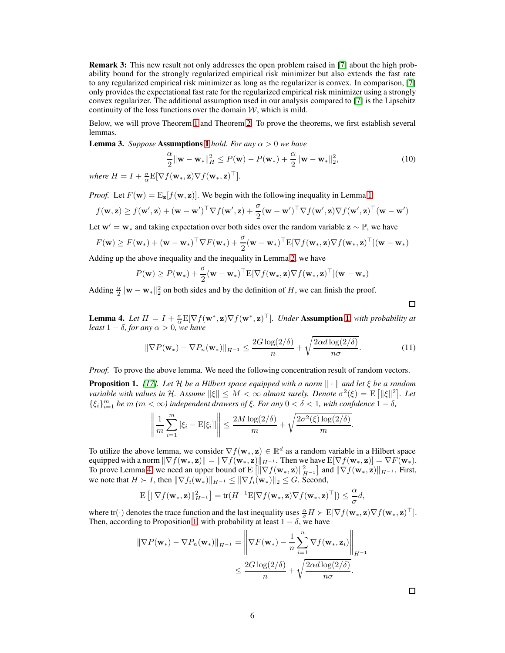Remark 3: This new result not only addresses the open problem raised in [7] about the high probability bound for the strongly regularized empirical risk minimizer but also extends the fast rate to any regularized empirical risk minimizer as long as the regularizer is convex. In comparison, [7] only provides the expectational fast rate for the regularized empirical risk minimizer using a strongly convex regularizer. The additional assumption used in our analysis compared to [7] is the Lipschitz continuity of the loss functions over the domain  $W$ , which is mild.

Below, we will prove Theorem [1](#page-4-3) and Theorem [2.](#page-4-0) To prove the theorems, we first establish several lemmas.

**Lemma 3.** *Suppose* **Assumptions [1](#page-3-1)** *hold. For any*  $\alpha > 0$  *we have* 

$$
\frac{\alpha}{2} \|\mathbf{w} - \mathbf{w}_*\|_H^2 \le P(\mathbf{w}) - P(\mathbf{w}_*) + \frac{\alpha}{2} \|\mathbf{w} - \mathbf{w}_*\|_2^2, \tag{10}
$$

where  $H = I + \frac{\sigma}{\alpha} E[\nabla f(\mathbf{w}_*, \mathbf{z}) \nabla f(\mathbf{w}_*, \mathbf{z})^\top]$ .

*Proof.* Let  $F(\mathbf{w}) = \mathbb{E}_{\mathbf{z}}[f(\mathbf{w}, \mathbf{z})]$ . We begin with the following inequality in Lemma [1](#page-4-1)

$$
f(\mathbf{w}, \mathbf{z}) \ge f(\mathbf{w}', \mathbf{z}) + (\mathbf{w} - \mathbf{w}')^{\top} \nabla f(\mathbf{w}', \mathbf{z}) + \frac{\sigma}{2} (\mathbf{w} - \mathbf{w}')^{\top} \nabla f(\mathbf{w}', \mathbf{z}) \nabla f(\mathbf{w}', \mathbf{z})^{\top} (\mathbf{w} - \mathbf{w}')
$$

Let  $w' = w_*$  and taking expectation over both sides over the random variable  $z \sim \mathbb{P}$ , we have

$$
F(\mathbf{w}) \geq F(\mathbf{w}_*) + (\mathbf{w} - \mathbf{w}_*)^\top \nabla F(\mathbf{w}_*) + \frac{\sigma}{2} (\mathbf{w} - \mathbf{w}_*)^\top E[\nabla f(\mathbf{w}_*, \mathbf{z}) \nabla f(\mathbf{w}_*, \mathbf{z})^\top] (\mathbf{w} - \mathbf{w}_*)
$$

Adding up the above inequality and the inequality in Lemma [2,](#page-4-2) we have

$$
P(\mathbf{w}) \ge P(\mathbf{w}_*) + \frac{\sigma}{2}(\mathbf{w} - \mathbf{w}_*)^\top E[\nabla f(\mathbf{w}_*, \mathbf{z}) \nabla f(\mathbf{w}_*, \mathbf{z})^\top](\mathbf{w} - \mathbf{w}_*)
$$

Adding  $\frac{\alpha}{2} \|\mathbf{w} - \mathbf{w}_*\|^2_2$  on both sides and by the definition of H, we can finish the proof.

 $\Box$ 

<span id="page-5-0"></span>**Lemma 4.** Let  $H = I + \frac{\sigma}{\alpha} E[\nabla f(\mathbf{w}^*, \mathbf{z}) \nabla f(\mathbf{w}^*, \mathbf{z})^\top]$ . Under Assumption [1](#page-3-1), with probability at *least*  $1 - \delta$ *, for any*  $\alpha > 0$ *, we have* 

$$
\|\nabla P(\mathbf{w}_*) - \nabla P_n(\mathbf{w}_*)\|_{H^{-1}} \le \frac{2G \log(2/\delta)}{n} + \sqrt{\frac{2\alpha d \log(2/\delta)}{n\sigma}}.
$$
 (11)

*Proof.* To prove the above lemma. We need the following concentration result of random vectors.

<span id="page-5-1"></span>**Proposition 1.** [\[17\]](#page-8-11)*.* Let H be a Hilbert space equipped with a norm  $\|\cdot\|$  and let  $\xi$  be a random *variable with values in H. Assume*  $\|\xi\| \leq M < \infty$  *almost surely. Denote*  $\sigma^2(\xi) = E\left[\|\xi\|^2\right]$ . Let  $\{\xi_i\}_{i=1}^m$  *be*  $m$   $(m < \infty)$  independent drawers of  $\xi$ . For any  $0 < \delta < 1$ , with confidence  $1 - \delta$ ,

$$
\left\|\frac{1}{m}\sum_{i=1}^m\left[\xi_i - \mathrm{E}[\xi_i]\right]\right\| \le \frac{2M\log(2/\delta)}{m} + \sqrt{\frac{2\sigma^2(\xi)\log(2/\delta)}{m}}.
$$

To utilize the above lemma, we consider  $\nabla f(\mathbf{w}_*, \mathbf{z}) \in \mathbb{R}^d$  as a random variable in a Hilbert space equipped with a norm  $\|\nabla f(\mathbf{w}_*, \mathbf{z})\| = \|\nabla f(\mathbf{w}_*, \mathbf{z})\|_{H^{-1}}$ . Then we have  $E[\nabla f(\mathbf{w}_*, \mathbf{z})] = \nabla F(\mathbf{w}_*).$ To prove Lemma [4,](#page-5-0) we need an upper bound of  $E\left[\|\nabla f(\mathbf{w}_*, \mathbf{z})\|_{H^{-1}}^2\right]$  and  $\|\nabla f(\mathbf{w}_*, \mathbf{z})\|_{H^{-1}}$ . First, we note that  $H \succ I$ , then  $\|\nabla f_i(\mathbf{w}_*)\|_{H^{-1}} \leq \|\nabla f_i(\mathbf{w}_*)\|_2 \leq G$ . Second,

$$
\mathbf{E}\left[\|\nabla f(\mathbf{w}_*,\mathbf{z})\|_{H^{-1}}^2\right] = \text{tr}(H^{-1}\mathbf{E}[\nabla f(\mathbf{w}_*,\mathbf{z})\nabla f(\mathbf{w}_*,\mathbf{z})^\top]) \leq \frac{\alpha}{\sigma}d,
$$

where tr(·) denotes the trace function and the last inequality uses  $\frac{\alpha}{\sigma}H \succ E[\nabla f(\mathbf{w}_*, \mathbf{z})\nabla f(\mathbf{w}_*, \mathbf{z})^\top]$ . Then, according to Proposition [1,](#page-5-1) with probability at least  $1 - \delta$ , we have

$$
\|\nabla P(\mathbf{w}_*) - \nabla P_n(\mathbf{w}_*)\|_{H^{-1}} = \left\|\nabla F(\mathbf{w}_*) - \frac{1}{n}\sum_{i=1}^n \nabla f(\mathbf{w}_*, \mathbf{z}_i)\right\|_{H^{-1}} \le \frac{2G\log(2/\delta)}{n} + \sqrt{\frac{2\alpha d\log(2/\delta)}{n\sigma}}.
$$

 $\Box$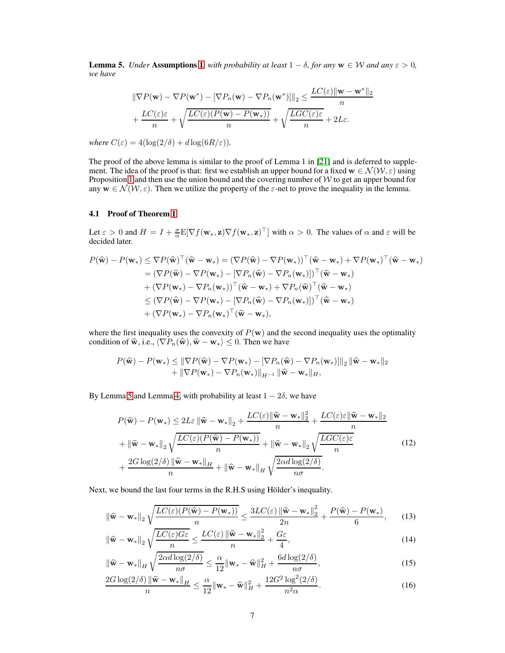<span id="page-6-0"></span>**Lemma 5.** *Under* **Assumptions [1](#page-3-1)***, with probability at least*  $1 - \delta$ *, for any*  $\mathbf{w} \in \mathcal{W}$  *and any*  $\varepsilon > 0$ *, we have*

$$
\|\nabla P(\mathbf{w}) - \nabla P(\mathbf{w}^*) - [\nabla P_n(\mathbf{w}) - \nabla P_n(\mathbf{w}^*)]\|_2 \le \frac{LC(\varepsilon) \|\mathbf{w} - \mathbf{w}^*\|_2}{n}
$$

$$
+ \frac{LC(\varepsilon)\varepsilon}{n} + \sqrt{\frac{LC(\varepsilon)(P(\mathbf{w}) - P(\mathbf{w}_*))}{n}} + \sqrt{\frac{LC(\varepsilon)\varepsilon}{n}} + 2L\varepsilon.
$$

*where*  $C(\varepsilon) = 4(\log(2/\delta) + d \log(6R/\varepsilon)).$ 

The proof of the above lemma is similar to the proof of Lemma 1 in [21] and is deferred to supplement. The idea of the proof is that: first we establish an upper bound for a fixed  $w \in \mathcal{N}(\mathcal{W}, \varepsilon)$  using Proposition [1](#page-5-1) and then use the union bound and the covering number of  $W$  to get an upper bound for any  $\mathbf{w} \in \mathcal{N}(\mathcal{W}, \varepsilon)$ . Then we utilize the property of the  $\varepsilon$ -net to prove the inequality in the lemma.

#### 4.1 Proof of Theorem [1](#page-4-3)

Let  $\varepsilon > 0$  and  $H = I + \frac{\sigma}{\alpha} E[\nabla f(\mathbf{w}_*, \mathbf{z}) \nabla f(\mathbf{w}_*, \mathbf{z})^\top]$  with  $\alpha > 0$ . The values of  $\alpha$  and  $\varepsilon$  will be decided later.

$$
P(\widehat{\mathbf{w}}) - P(\mathbf{w}_*) \leq \nabla P(\widehat{\mathbf{w}})^\top (\widehat{\mathbf{w}} - \mathbf{w}_*) = (\nabla P(\widehat{\mathbf{w}}) - \nabla P(\mathbf{w}_*))^\top (\widehat{\mathbf{w}} - \mathbf{w}_*) + \nabla P(\mathbf{w}_*)^\top (\widehat{\mathbf{w}} - \mathbf{w}_*)
$$
  
\n
$$
= (\nabla P(\widehat{\mathbf{w}}) - \nabla P(\mathbf{w}_*) - [\nabla P_n(\widehat{\mathbf{w}}) - \nabla P_n(\mathbf{w}_*)]]^\top (\widehat{\mathbf{w}} - \mathbf{w}_*)
$$
  
\n
$$
+ (\nabla P(\mathbf{w}_*) - \nabla P_n(\mathbf{w}_*))^\top (\widehat{\mathbf{w}} - \mathbf{w}_*) + \nabla P_n(\widehat{\mathbf{w}})^\top (\widehat{\mathbf{w}} - \mathbf{w}_*)
$$
  
\n
$$
\leq (\nabla P(\widehat{\mathbf{w}}) - \nabla P(\mathbf{w}_*) - [\nabla P_n(\widehat{\mathbf{w}}) - \nabla P_n(\mathbf{w}_*)]]^\top (\widehat{\mathbf{w}} - \mathbf{w}_*)
$$
  
\n
$$
+ (\nabla P(\mathbf{w}_*) - \nabla P_n(\mathbf{w}_*)^\top (\widehat{\mathbf{w}} - \mathbf{w}_*),
$$

where the first inequality uses the convexity of  $P(w)$  and the second inequality uses the optimality condition of  $\hat{\mathbf{w}}$ , i.e.,  $\langle \nabla P_n(\hat{\mathbf{w}}), \hat{\mathbf{w}} - \mathbf{w}_* \rangle \leq 0$ . Then we have

$$
P(\widehat{\mathbf{w}}) - P(\mathbf{w}_*) \leq \|\nabla P(\widehat{\mathbf{w}}) - \nabla P(\mathbf{w}_*) - [\nabla P_n(\widehat{\mathbf{w}}) - \nabla P_n(\mathbf{w}_*)]\|_2 \|\widehat{\mathbf{w}} - \mathbf{w}_*\|_2
$$
  
+ 
$$
\|\nabla P(\mathbf{w}_*) - \nabla P_n(\mathbf{w}_*)\|_{H^{-1}} \|\widehat{\mathbf{w}} - \mathbf{w}_*\|_H,
$$

By Lemma [5](#page-6-0) and Lemma [4,](#page-5-0) with probability at least  $1 - 2\delta$ , we have

<span id="page-6-1"></span>
$$
P(\widehat{\mathbf{w}}) - P(\mathbf{w}_{*}) \le 2L\varepsilon \|\widehat{\mathbf{w}} - \mathbf{w}_{*}\|_{2} + \frac{LC(\varepsilon)\|\widehat{\mathbf{w}} - \mathbf{w}_{*}\|_{2}^{2}}{n} + \frac{LC(\varepsilon)\varepsilon\|\widehat{\mathbf{w}} - \mathbf{w}_{*}\|_{2}}{n} + \|\widehat{\mathbf{w}} - \mathbf{w}_{*}\|_{2} \sqrt{\frac{LC(\varepsilon)(P(\widehat{\mathbf{w}}) - P(\mathbf{w}_{*}))}{n}} + \|\widehat{\mathbf{w}} - \mathbf{w}_{*}\|_{2} \sqrt{\frac{LG(\varepsilon)\varepsilon}{n}} + \frac{2G\log(2/\delta)\|\widehat{\mathbf{w}} - \mathbf{w}_{*}\|_{H}}{n} + \|\widehat{\mathbf{w}} - \mathbf{w}_{*}\|_{H} \sqrt{\frac{2\alpha d\log(2/\delta)}{n\sigma}}.
$$
\n(12)

Next, we bound the last four terms in the R.H.S using Hölder's inequality.

<span id="page-6-2"></span>
$$
\|\widehat{\mathbf{w}} - \mathbf{w}_*\|_2 \sqrt{\frac{LC(\varepsilon)(P(\widehat{\mathbf{w}}) - P(\mathbf{w}_*))}{n}} \le \frac{3LC(\varepsilon) \|\widehat{\mathbf{w}} - \mathbf{w}_*\|_2^2}{2n} + \frac{P(\widehat{\mathbf{w}}) - P(\mathbf{w}_*)}{6},\qquad(13)
$$

$$
\|\widehat{\mathbf{w}} - \mathbf{w}_{*}\|_{2} \sqrt{\frac{LC(\varepsilon)G\varepsilon}{n}} \le \frac{LC(\varepsilon) \|\widehat{\mathbf{w}} - \mathbf{w}_{*}\|_{2}^{2}}{n} + \frac{G\varepsilon}{4},\tag{14}
$$

<span id="page-6-4"></span><span id="page-6-3"></span>
$$
\|\widehat{\mathbf{w}} - \mathbf{w}_{*}\|_{H} \sqrt{\frac{2\alpha d \log(2/\delta)}{n\sigma}} \le \frac{\alpha}{12} \|\mathbf{w}_{*} - \widehat{\mathbf{w}}\|_{H}^{2} + \frac{6d \log(2/\delta)}{n\sigma},
$$
\n(15)

<span id="page-6-5"></span>
$$
\frac{2G\log(2/\delta)\left\|\widehat{\mathbf{w}} - \mathbf{w}_*\right\|_H}{n} \le \frac{\alpha}{12}\|\mathbf{w}_* - \widehat{\mathbf{w}}\|_H^2 + \frac{12G^2\log^2(2/\delta)}{n^2\alpha}.
$$
\n(16)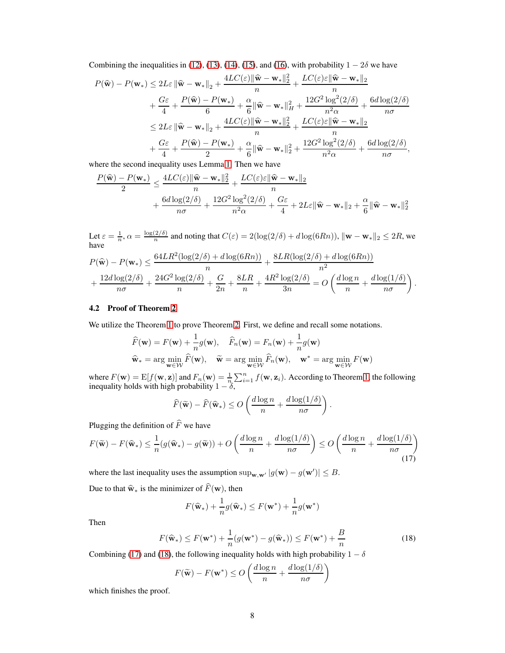Combining the inequalities in [\(12\)](#page-6-1), [\(13\)](#page-6-2), [\(14\)](#page-6-3), [\(15\)](#page-6-4), and [\(16\)](#page-6-5), with probability  $1 - 2\delta$  we have

$$
P(\widehat{\mathbf{w}}) - P(\mathbf{w}_{*}) \le 2L\varepsilon \|\widehat{\mathbf{w}} - \mathbf{w}_{*}\|_{2} + \frac{4LC(\varepsilon)\|\widehat{\mathbf{w}} - \mathbf{w}_{*}\|_{2}^{2}}{n} + \frac{LC(\varepsilon)\varepsilon\|\widehat{\mathbf{w}} - \mathbf{w}_{*}\|_{2}}{n} + \frac{G\varepsilon}{4} + \frac{P(\widehat{\mathbf{w}}) - P(\mathbf{w}_{*})}{6} + \frac{\alpha}{6}\|\widehat{\mathbf{w}} - \mathbf{w}_{*}\|_{H}^{2} + \frac{12G^{2}\log^{2}(2/\delta)}{n^{2}\alpha} + \frac{6d\log(2/\delta)}{n\sigma} + \frac{2L\varepsilon}{n\sigma}\|\widehat{\mathbf{w}} - \mathbf{w}_{*}\|_{2}^{2} + \frac{4LC(\varepsilon)\|\widehat{\mathbf{w}} - \mathbf{w}_{*}\|_{2}^{2}}{n} + \frac{LC(\varepsilon)\varepsilon\|\widehat{\mathbf{w}} - \mathbf{w}_{*}\|_{2}}{n} + \frac{G\varepsilon}{4} + \frac{P(\widehat{\mathbf{w}}) - P(\mathbf{w}_{*})}{2} + \frac{\alpha}{6}\|\widehat{\mathbf{w}} - \mathbf{w}_{*}\|_{2}^{2} + \frac{12G^{2}\log^{2}(2/\delta)}{n^{2}\alpha} + \frac{6d\log(2/\delta)}{n\sigma},
$$

where the second inequality uses Lemma [1.](#page-4-1) Then we have

$$
\begin{aligned} \frac{P(\widehat{\mathbf{w}}) - P(\mathbf{w}_*)}{2} & \leq \frac{4LC(\varepsilon)\|\widehat{\mathbf{w}} - \mathbf{w}_*\|_2^2}{n} + \frac{LC(\varepsilon)\varepsilon\|\widehat{\mathbf{w}} - \mathbf{w}_*\|_2}{n} \\ & \qquad \qquad + \frac{6d\log(2/\delta)}{n\sigma} + \frac{12G^2\log^2(2/\delta)}{n^2\alpha} + \frac{G\varepsilon}{4} + 2L\varepsilon\|\widehat{\mathbf{w}} - \mathbf{w}_*\|_2 + \frac{\alpha}{6}\|\widehat{\mathbf{w}} - \mathbf{w}_*\|_2^2 \end{aligned}
$$

Let  $\varepsilon = \frac{1}{n}, \alpha = \frac{\log(2/\delta)}{n}$  $\frac{(2/\delta)}{n}$  and noting that  $C(\varepsilon) = 2(\log(2/\delta) + d \log(6Rn)), ||\mathbf{w} - \mathbf{w}_*||_2 \leq 2R$ , we have

$$
P(\widehat{\mathbf{w}}) - P(\mathbf{w}_{*}) \leq \frac{64LR^{2}(\log(2/\delta) + d\log(6Rn))}{n} + \frac{8LR(\log(2/\delta) + d\log(6Rn))}{n^{2}} + \frac{12d\log(2/\delta)}{n\sigma} + \frac{24G^{2}\log(2/\delta)}{n} + \frac{G}{2n} + \frac{8LR}{n} + \frac{4R^{2}\log(2/\delta)}{3n} = O\left(\frac{d\log n}{n} + \frac{d\log(1/\delta)}{n\sigma}\right).
$$

#### 4.2 Proof of Theorem [2](#page-4-0)

We utilize the Theorem [1](#page-4-3) to prove Theorem [2.](#page-4-0) First, we define and recall some notations.

$$
\widehat{F}(\mathbf{w}) = F(\mathbf{w}) + \frac{1}{n}g(\mathbf{w}), \quad \widehat{F}_n(\mathbf{w}) = F_n(\mathbf{w}) + \frac{1}{n}g(\mathbf{w})
$$
\n
$$
\widehat{\mathbf{w}}_* = \arg\min_{\mathbf{w} \in \mathcal{W}} \widehat{F}(\mathbf{w}), \quad \widetilde{\mathbf{w}} = \arg\min_{\mathbf{w} \in \mathcal{W}} \widehat{F}_n(\mathbf{w}), \quad \mathbf{w}^* = \arg\min_{\mathbf{w} \in \mathcal{W}} F(\mathbf{w})
$$

where  $F(\mathbf{w}) = E[f(\mathbf{w}, \mathbf{z})]$  and  $F_n(\mathbf{w}) = \frac{1}{n} \sum_{i=1}^n f(\mathbf{w}, \mathbf{z}_i)$ . According to Theorem [1,](#page-4-3) the following inequality holds with high probability  $1 - \delta$ ,

$$
\widehat{F}(\widetilde{\mathbf{w}}) - \widehat{F}(\widehat{\mathbf{w}}_*) \le O\left(\frac{d \log n}{n} + \frac{d \log(1/\delta)}{n\sigma}\right).
$$

Plugging the definition of  $\widehat{F}$  we have

$$
F(\widetilde{\mathbf{w}}) - F(\widehat{\mathbf{w}}_*) \le \frac{1}{n} (g(\widehat{\mathbf{w}}_*) - g(\widetilde{\mathbf{w}})) + O\left(\frac{d \log n}{n} + \frac{d \log(1/\delta)}{n\sigma}\right) \le O\left(\frac{d \log n}{n} + \frac{d \log(1/\delta)}{n\sigma}\right)
$$
(17)

where the last inequality uses the assumption sup<sub>w,w'</sub>  $|g(\mathbf{w}) - g(\mathbf{w}')| \le B$ .

Due to that  $\hat{\mathbf{w}}_{*}$  is the minimizer of  $\hat{F}(\mathbf{w})$ , then

<span id="page-7-1"></span><span id="page-7-0"></span>
$$
F(\widehat{\mathbf{w}}_*) + \frac{1}{n}g(\widehat{\mathbf{w}}_*) \leq F(\mathbf{w}^*) + \frac{1}{n}g(\mathbf{w}^*)
$$

Then

$$
F(\widehat{\mathbf{w}}_*) \le F(\mathbf{w}^*) + \frac{1}{n}(g(\mathbf{w}^*) - g(\widehat{\mathbf{w}}_*)) \le F(\mathbf{w}^*) + \frac{B}{n}
$$
(18)

Combining [\(17\)](#page-7-0) and [\(18\)](#page-7-1), the following inequality holds with high probability  $1 - \delta$ 

$$
F(\widetilde{\mathbf{w}}) - F(\mathbf{w}^*) \le O\left(\frac{d\log n}{n} + \frac{d\log(1/\delta)}{n\sigma}\right)
$$

which finishes the proof.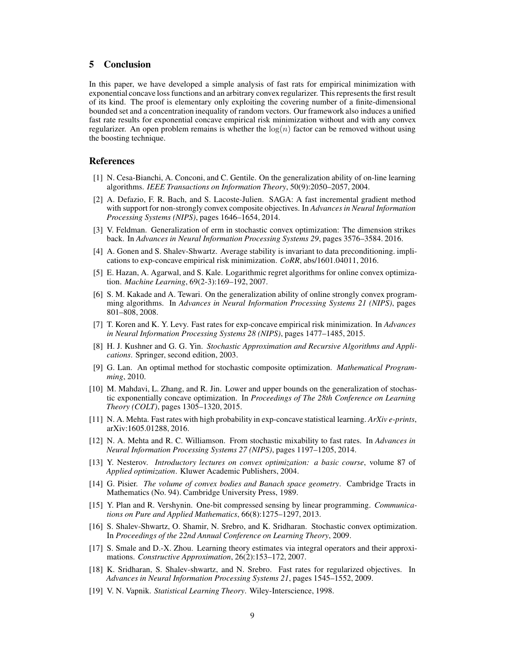## 5 Conclusion

In this paper, we have developed a simple analysis of fast rats for empirical minimization with exponential concave loss functions and an arbitrary convex regularizer. This represents the first result of its kind. The proof is elementary only exploiting the covering number of a finite-dimensional bounded set and a concentration inequality of random vectors. Our framework also induces a unified fast rate results for exponential concave empirical risk minimization without and with any convex regularizer. An open problem remains is whether the  $log(n)$  factor can be removed without using the boosting technique.

## <span id="page-8-3"></span>References

- [1] N. Cesa-Bianchi, A. Conconi, and C. Gentile. On the generalization ability of on-line learning algorithms. *IEEE Transactions on Information Theory*, 50(9):2050–2057, 2004.
- [2] A. Defazio, F. R. Bach, and S. Lacoste-Julien. SAGA: A fast incremental gradient method with support for non-strongly convex composite objectives. In *Advances in Neural Information Processing Systems (NIPS)*, pages 1646–1654, 2014.
- <span id="page-8-8"></span>[3] V. Feldman. Generalization of erm in stochastic convex optimization: The dimension strikes back. In *Advances in Neural Information Processing Systems 29*, pages 3576–3584. 2016.
- [4] A. Gonen and S. Shalev-Shwartz. Average stability is invariant to data preconditioning. implications to exp-concave empirical risk minimization. *CoRR*, abs/1601.04011, 2016.
- <span id="page-8-2"></span>[5] E. Hazan, A. Agarwal, and S. Kale. Logarithmic regret algorithms for online convex optimization. *Machine Learning*, 69(2-3):169–192, 2007.
- [6] S. M. Kakade and A. Tewari. On the generalization ability of online strongly convex programming algorithms. In *Advances in Neural Information Processing Systems 21 (NIPS)*, pages 801–808, 2008.
- [7] T. Koren and K. Y. Levy. Fast rates for exp-concave empirical risk minimization. In *Advances in Neural Information Processing Systems 28 (NIPS)*, pages 1477–1485, 2015.
- <span id="page-8-1"></span>[8] H. J. Kushner and G. G. Yin. *Stochastic Approximation and Recursive Algorithms and Applications*. Springer, second edition, 2003.
- <span id="page-8-5"></span>[9] G. Lan. An optimal method for stochastic composite optimization. *Mathematical Programming*, 2010.
- [10] M. Mahdavi, L. Zhang, and R. Jin. Lower and upper bounds on the generalization of stochastic exponentially concave optimization. In *Proceedings of The 28th Conference on Learning Theory (COLT)*, pages 1305–1320, 2015.
- <span id="page-8-4"></span>[11] N. A. Mehta. Fast rates with high probability in exp-concave statistical learning. *ArXiv e-prints*, arXiv:1605.01288, 2016.
- [12] N. A. Mehta and R. C. Williamson. From stochastic mixability to fast rates. In *Advances in Neural Information Processing Systems 27 (NIPS)*, pages 1197–1205, 2014.
- <span id="page-8-12"></span>[13] Y. Nesterov. *Introductory lectures on convex optimization: a basic course*, volume 87 of *Applied optimization*. Kluwer Academic Publishers, 2004.
- <span id="page-8-9"></span>[14] G. Pisier. *The volume of convex bodies and Banach space geometry*. Cambridge Tracts in Mathematics (No. 94). Cambridge University Press, 1989.
- <span id="page-8-10"></span>[15] Y. Plan and R. Vershynin. One-bit compressed sensing by linear programming. *Communications on Pure and Applied Mathematics*, 66(8):1275–1297, 2013.
- <span id="page-8-6"></span>[16] S. Shalev-Shwartz, O. Shamir, N. Srebro, and K. Sridharan. Stochastic convex optimization. In *Proceedings of the 22nd Annual Conference on Learning Theory*, 2009.
- <span id="page-8-11"></span>[17] S. Smale and D.-X. Zhou. Learning theory estimates via integral operators and their approximations. *Constructive Approximation*, 26(2):153–172, 2007.
- <span id="page-8-7"></span>[18] K. Sridharan, S. Shalev-shwartz, and N. Srebro. Fast rates for regularized objectives. In *Advances in Neural Information Processing Systems 21*, pages 1545–1552, 2009.
- <span id="page-8-0"></span>[19] V. N. Vapnik. *Statistical Learning Theory*. Wiley-Interscience, 1998.